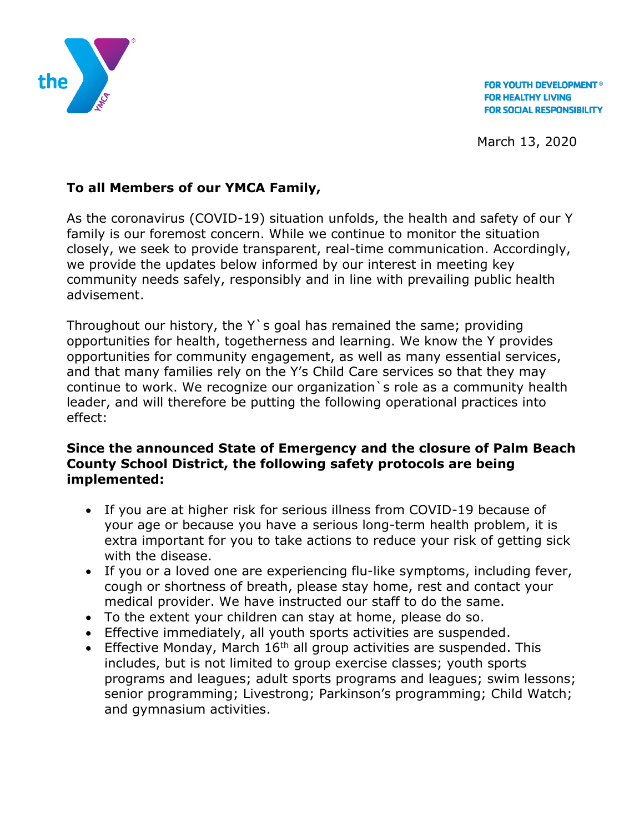

**FOR YOUTH DEVELOPMENT<sup>®</sup> FOR HEALTHY LIVING FOR SOCIAL RESPONSIBILITY** 

March 13, 2020

## **To all Members of our YMCA Family,**

As the coronavirus (COVID-19) situation unfolds, the health and safety of our Y family is our foremost concern. While we continue to monitor the situation closely, we seek to provide transparent, real-time communication. Accordingly, we provide the updates below informed by our interest in meeting key community needs safely, responsibly and in line with prevailing public health advisement.

Throughout our history, the Y`s goal has remained the same; providing opportunities for health, togetherness and learning. We know the Y provides opportunities for community engagement, as well as many essential services, and that many families rely on the Y's Child Care services so that they may continue to work. We recognize our organization`s role as a community health leader, and will therefore be putting the following operational practices into effect:

## **Since the announced State of Emergency and the closure of Palm Beach County School District, the following safety protocols are being implemented:**

- If you are at higher risk for serious illness from COVID-19 because of your age or because you have a serious long-term health problem, it is extra important for you to take actions to reduce your risk of getting sick with the disease.
- If you or a loved one are experiencing flu-like symptoms, including fever, cough or shortness of breath, please stay home, rest and contact your medical provider. We have instructed our staff to do the same.
- To the extent your children can stay at home, please do so.
- Effective immediately, all youth sports activities are suspended.
- **Effective Monday, March 16<sup>th</sup> all group activities are suspended. This** includes, but is not limited to group exercise classes; youth sports programs and leagues; adult sports programs and leagues; swim lessons; senior programming; Livestrong; Parkinson's programming; Child Watch; and gymnasium activities.